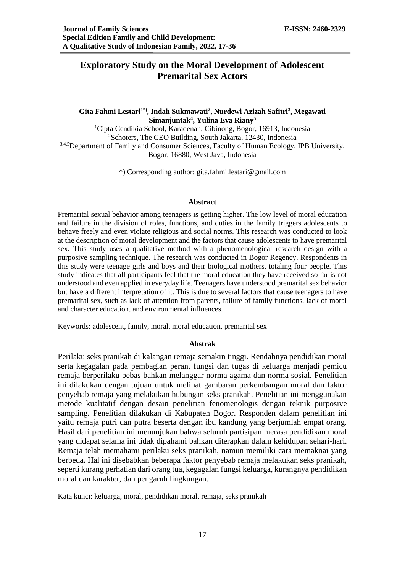# **Exploratory Study on the Moral Development of Adolescent Premarital Sex Actors**

# **Gita Fahmi Lestari1\*), Indah Sukmawati<sup>2</sup> , Nurdewi Azizah Safitri<sup>3</sup> , Megawati Simanjuntak<sup>4</sup> , Yulina Eva Riany<sup>5</sup>**

<sup>1</sup>Cipta Cendikia School, Karadenan, Cibinong, Bogor, 16913, Indonesia <sup>2</sup>Schoters, The CEO Building, South Jakarta, 12430, Indonesia <sup>3,4,5</sup>Department of Family and Consumer Sciences, Faculty of Human Ecology, IPB University, Bogor, 16880, West Java, Indonesia

\*) Corresponding author: [gita.fahmi.lestari@gmail.com](mailto:gita.fahmi.lestari@gmail.com)

#### **Abstract**

Premarital sexual behavior among teenagers is getting higher. The low level of moral education and failure in the division of roles, functions, and duties in the family triggers adolescents to behave freely and even violate religious and social norms. This research was conducted to look at the description of moral development and the factors that cause adolescents to have premarital sex. This study uses a qualitative method with a phenomenological research design with a purposive sampling technique. The research was conducted in Bogor Regency. Respondents in this study were teenage girls and boys and their biological mothers, totaling four people. This study indicates that all participants feel that the moral education they have received so far is not understood and even applied in everyday life. Teenagers have understood premarital sex behavior but have a different interpretation of it. This is due to several factors that cause teenagers to have premarital sex, such as lack of attention from parents, failure of family functions, lack of moral and character education, and environmental influences.

Keywords: adolescent, family, moral, moral education, premarital sex

#### **Abstrak**

Perilaku seks pranikah di kalangan remaja semakin tinggi. Rendahnya pendidikan moral serta kegagalan pada pembagian peran, fungsi dan tugas di keluarga menjadi pemicu remaja berperilaku bebas bahkan melanggar norma agama dan norma sosial. Penelitian ini dilakukan dengan tujuan untuk melihat gambaran perkembangan moral dan faktor penyebab remaja yang melakukan hubungan seks pranikah. Penelitian ini menggunakan metode kualitatif dengan desain penelitian fenomenologis dengan teknik purposive sampling. Penelitian dilakukan di Kabupaten Bogor. Responden dalam penelitian ini yaitu remaja putri dan putra beserta dengan ibu kandung yang berjumlah empat orang. Hasil dari penelitian ini menunjukan bahwa seluruh partisipan merasa pendidikan moral yang didapat selama ini tidak dipahami bahkan diterapkan dalam kehidupan sehari-hari. Remaja telah memahami perilaku seks pranikah, namun memiliki cara memaknai yang berbeda. Hal ini disebabkan beberapa faktor penyebab remaja melakukan seks pranikah, seperti kurang perhatian dari orang tua, kegagalan fungsi keluarga, kurangnya pendidikan moral dan karakter, dan pengaruh lingkungan.

Kata kunci: keluarga, moral, pendidikan moral, remaja, seks pranikah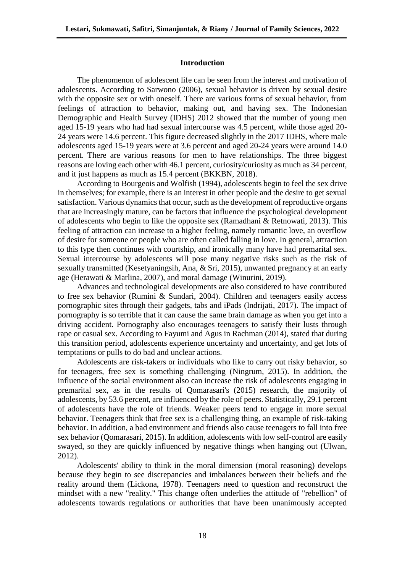#### **Introduction**

The phenomenon of adolescent life can be seen from the interest and motivation of adolescents. According to Sarwono (2006), sexual behavior is driven by sexual desire with the opposite sex or with oneself. There are various forms of sexual behavior, from feelings of attraction to behavior, making out, and having sex. The Indonesian Demographic and Health Survey (IDHS) 2012 showed that the number of young men aged 15-19 years who had had sexual intercourse was 4.5 percent, while those aged 20- 24 years were 14.6 percent. This figure decreased slightly in the 2017 IDHS, where male adolescents aged 15-19 years were at 3.6 percent and aged 20-24 years were around 14.0 percent. There are various reasons for men to have relationships. The three biggest reasons are loving each other with 46.1 percent, curiosity/curiosity as much as 34 percent, and it just happens as much as 15.4 percent (BKKBN, 2018).

According to Bourgeois and Wolfish (1994), adolescents begin to feel the sex drive in themselves; for example, there is an interest in other people and the desire to get sexual satisfaction. Various dynamics that occur, such as the development of reproductive organs that are increasingly mature, can be factors that influence the psychological development of adolescents who begin to like the opposite sex (Ramadhani & Retnowati, 2013). This feeling of attraction can increase to a higher feeling, namely romantic love, an overflow of desire for someone or people who are often called falling in love. In general, attraction to this type then continues with courtship, and ironically many have had premarital sex. Sexual intercourse by adolescents will pose many negative risks such as the risk of sexually transmitted (Kesetyaningsih, Ana, & Sri, 2015), unwanted pregnancy at an early age (Herawati & Marlina, 2007), and moral damage (Winurini, 2019).

Advances and technological developments are also considered to have contributed to free sex behavior (Rumini & Sundari, 2004). Children and teenagers easily access pornographic sites through their gadgets, tabs and iPads (Indrijati, 2017). The impact of pornography is so terrible that it can cause the same brain damage as when you get into a driving accident. Pornography also encourages teenagers to satisfy their lusts through rape or casual sex. According to Fayumi and Agus in Rachman (2014), stated that during this transition period, adolescents experience uncertainty and uncertainty, and get lots of temptations or pulls to do bad and unclear actions.

Adolescents are risk-takers or individuals who like to carry out risky behavior, so for teenagers, free sex is something challenging (Ningrum, 2015). In addition, the influence of the social environment also can increase the risk of adolescents engaging in premarital sex, as in the results of Qomarasari's (2015) research, the majority of adolescents, by 53.6 percent, are influenced by the role of peers. Statistically, 29.1 percent of adolescents have the role of friends. Weaker peers tend to engage in more sexual behavior. Teenagers think that free sex is a challenging thing, an example of risk-taking behavior. In addition, a bad environment and friends also cause teenagers to fall into free sex behavior (Qomarasari, 2015). In addition, adolescents with low self-control are easily swayed, so they are quickly influenced by negative things when hanging out (Ulwan, 2012).

Adolescents' ability to think in the moral dimension (moral reasoning) develops because they begin to see discrepancies and imbalances between their beliefs and the reality around them (Lickona, 1978). Teenagers need to question and reconstruct the mindset with a new "reality." This change often underlies the attitude of "rebellion" of adolescents towards regulations or authorities that have been unanimously accepted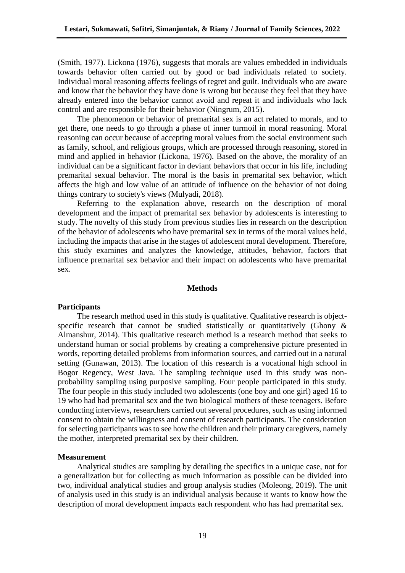(Smith, 1977). Lickona (1976), suggests that morals are values embedded in individuals towards behavior often carried out by good or bad individuals related to society. Individual moral reasoning affects feelings of regret and guilt. Individuals who are aware and know that the behavior they have done is wrong but because they feel that they have already entered into the behavior cannot avoid and repeat it and individuals who lack control and are responsible for their behavior (Ningrum, 2015).

The phenomenon or behavior of premarital sex is an act related to morals, and to get there, one needs to go through a phase of inner turmoil in moral reasoning. Moral reasoning can occur because of accepting moral values from the social environment such as family, school, and religious groups, which are processed through reasoning, stored in mind and applied in behavior (Lickona, 1976). Based on the above, the morality of an individual can be a significant factor in deviant behaviors that occur in his life, including premarital sexual behavior. The moral is the basis in premarital sex behavior, which affects the high and low value of an attitude of influence on the behavior of not doing things contrary to society's views (Mulyadi, 2018).

Referring to the explanation above, research on the description of moral development and the impact of premarital sex behavior by adolescents is interesting to study. The novelty of this study from previous studies lies in research on the description of the behavior of adolescents who have premarital sex in terms of the moral values held, including the impacts that arise in the stages of adolescent moral development. Therefore, this study examines and analyzes the knowledge, attitudes, behavior, factors that influence premarital sex behavior and their impact on adolescents who have premarital sex.

#### **Methods**

#### **Participants**

The research method used in this study is qualitative. Qualitative research is objectspecific research that cannot be studied statistically or quantitatively (Ghony & Almanshur, 2014). This qualitative research method is a research method that seeks to understand human or social problems by creating a comprehensive picture presented in words, reporting detailed problems from information sources, and carried out in a natural setting (Gunawan, 2013). The location of this research is a vocational high school in Bogor Regency, West Java. The sampling technique used in this study was nonprobability sampling using purposive sampling. Four people participated in this study. The four people in this study included two adolescents (one boy and one girl) aged 16 to 19 who had had premarital sex and the two biological mothers of these teenagers. Before conducting interviews, researchers carried out several procedures, such as using informed consent to obtain the willingness and consent of research participants. The consideration for selecting participants was to see how the children and their primary caregivers, namely the mother, interpreted premarital sex by their children.

#### **Measurement**

Analytical studies are sampling by detailing the specifics in a unique case, not for a generalization but for collecting as much information as possible can be divided into two, individual analytical studies and group analysis studies (Moleong, 2019). The unit of analysis used in this study is an individual analysis because it wants to know how the description of moral development impacts each respondent who has had premarital sex.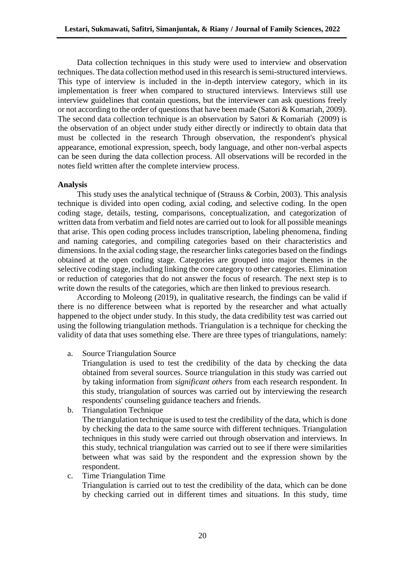Data collection techniques in this study were used to interview and observation techniques. The data collection method used in this research is semi-structured interviews. This type of interview is included in the in-depth interview category, which in its implementation is freer when compared to structured interviews. Interviews still use interview guidelines that contain questions, but the interviewer can ask questions freely or not according to the order of questions that have been made (Satori & Komariah, 2009). The second data collection technique is an observation by Satori & Komariah (2009) is the observation of an object under study either directly or indirectly to obtain data that must be collected in the research Through observation, the respondent's physical appearance, emotional expression, speech, body language, and other non-verbal aspects can be seen during the data collection process. All observations will be recorded in the notes field written after the complete interview process.

# **Analysis**

This study uses the analytical technique of (Strauss & Corbin, 2003). This analysis technique is divided into open coding, axial coding, and selective coding. In the open coding stage, details, testing, comparisons, conceptualization, and categorization of written data from verbatim and field notes are carried out to look for all possible meanings that arise. This open coding process includes transcription, labeling phenomena, finding and naming categories, and compiling categories based on their characteristics and dimensions. In the axial coding stage, the researcher links categories based on the findings obtained at the open coding stage. Categories are grouped into major themes in the selective coding stage, including linking the core category to other categories. Elimination or reduction of categories that do not answer the focus of research. The next step is to write down the results of the categories, which are then linked to previous research.

According to Moleong (2019), in qualitative research, the findings can be valid if there is no difference between what is reported by the researcher and what actually happened to the object under study. In this study, the data credibility test was carried out using the following triangulation methods. Triangulation is a technique for checking the validity of data that uses something else. There are three types of triangulations, namely:

a. Source Triangulation Source

Triangulation is used to test the credibility of the data by checking the data obtained from several sources. Source triangulation in this study was carried out by taking information from *significant others* from each research respondent. In this study, triangulation of sources was carried out by interviewing the research respondents' counseling guidance teachers and friends.

b. Triangulation Technique

The triangulation technique is used to test the credibility of the data, which is done by checking the data to the same source with different techniques. Triangulation techniques in this study were carried out through observation and interviews. In this study, technical triangulation was carried out to see if there were similarities between what was said by the respondent and the expression shown by the respondent.

c. Time Triangulation Time Triangulation is carried out to test the credibility of the data, which can be done by checking carried out in different times and situations. In this study, time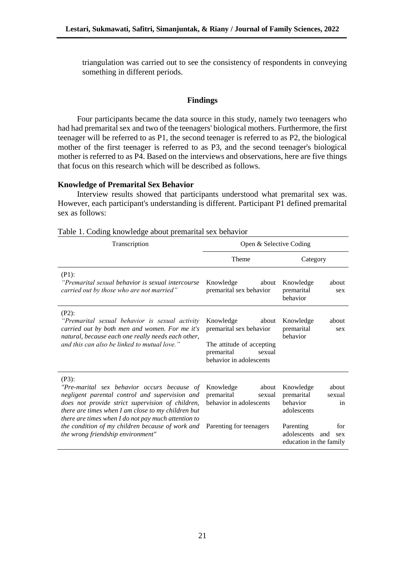triangulation was carried out to see the consistency of respondents in conveying something in different periods.

## **Findings**

Four participants became the data source in this study, namely two teenagers who had had premarital sex and two of the teenagers' biological mothers. Furthermore, the first teenager will be referred to as P1, the second teenager is referred to as P2, the biological mother of the first teenager is referred to as P3, and the second teenager's biological mother is referred to as P4. Based on the interviews and observations, here are five things that focus on this research which will be described as follows.

# **Knowledge of Premarital Sex Behavior**

Interview results showed that participants understood what premarital sex was. However, each participant's understanding is different. Participant P1 defined premarital sex as follows:

| Transcription                                                                                                                                                                                                                                                              | Open & Selective Coding                                                                                                       |                                                                             |
|----------------------------------------------------------------------------------------------------------------------------------------------------------------------------------------------------------------------------------------------------------------------------|-------------------------------------------------------------------------------------------------------------------------------|-----------------------------------------------------------------------------|
|                                                                                                                                                                                                                                                                            | Theme                                                                                                                         | Category                                                                    |
| $(P1)$ :<br>"Premarital sexual behavior is sexual intercourse"<br>carried out by those who are not married"                                                                                                                                                                | Knowledge<br>about<br>premarital sex behavior                                                                                 | Knowledge<br>about<br>premarital<br>sex<br>behavior                         |
| $(P2)$ :<br>"Premarital sexual behavior is sexual activity<br>carried out by both men and women. For me it's<br>natural, because each one really needs each other,<br>and this can also be linked to mutual love."                                                         | Knowledge<br>about<br>premarital sex behavior<br>The attitude of accepting<br>premarital<br>sexual<br>behavior in adolescents | Knowledge<br>about<br>premarital<br>sex<br>behavior                         |
| $(P3)$ :<br>"Pre-marital sex behavior occurs because of<br>negligent parental control and supervision and<br>does not provide strict supervision of children,<br>there are times when I am close to my children but<br>there are times when I do not pay much attention to | Knowledge<br>about<br>premarital<br>sexual<br>behavior in adolescents                                                         | about<br>Knowledge<br>premarital<br>sexual<br>behavior<br>in<br>adolescents |
| the condition of my children because of work and<br>the wrong friendship environment"                                                                                                                                                                                      | Parenting for teenagers                                                                                                       | Parenting<br>for<br>adolescents<br>and<br>sex<br>education in the family    |

|  | Table 1. Coding knowledge about premarital sex behavior |  |
|--|---------------------------------------------------------|--|
|  |                                                         |  |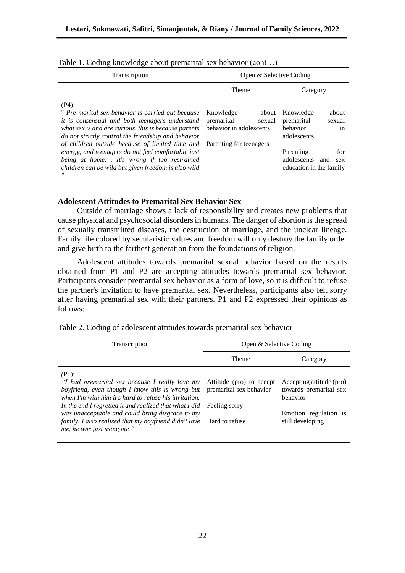| Transcription                                                                                                                                                                                                                                                                     | Open & Selective Coding                                                                          |                                                                             |  |  |
|-----------------------------------------------------------------------------------------------------------------------------------------------------------------------------------------------------------------------------------------------------------------------------------|--------------------------------------------------------------------------------------------------|-----------------------------------------------------------------------------|--|--|
|                                                                                                                                                                                                                                                                                   | Theme                                                                                            | Category                                                                    |  |  |
| $(P4)$ :<br>" Pre-marital sex behavior is carried out because<br>it is consensual and both teenagers understand<br>what sex is and are curious, this is because parents<br>do not strictly control the friendship and behavior<br>of children outside because of limited time and | Knowledge<br>about<br>premarital<br>sexual<br>behavior in adolescents<br>Parenting for teenagers | Knowledge<br>about<br>premarital<br>sexual<br>behavior<br>in<br>adolescents |  |  |
| energy, and teenagers do not feel comfortable just<br>being at home. It's wrong if too restrained<br>children can be wild but given freedom is also wild                                                                                                                          |                                                                                                  | Parenting<br>for<br>adolescents<br>and<br>sex<br>education in the family    |  |  |

Table 1. Coding knowledge about premarital sex behavior (cont…)

#### **Adolescent Attitudes to Premarital Sex Behavior Sex**

Outside of marriage shows a lack of responsibility and creates new problems that cause physical and psychosocial disorders in humans. The danger of abortion is the spread of sexually transmitted diseases, the destruction of marriage, and the unclear lineage. Family life colored by secularistic values and freedom will only destroy the family order and give birth to the farthest generation from the foundations of religion.

Adolescent attitudes towards premarital sexual behavior based on the results obtained from P1 and P2 are accepting attitudes towards premarital sex behavior. Participants consider premarital sex behavior as a form of love, so it is difficult to refuse the partner's invitation to have premarital sex. Nevertheless, participants also felt sorry after having premarital sex with their partners. P1 and P2 expressed their opinions as follows:

| Transcription                                                                                                                                                                                                                    | Open & Selective Coding                                              |                                                                |  |
|----------------------------------------------------------------------------------------------------------------------------------------------------------------------------------------------------------------------------------|----------------------------------------------------------------------|----------------------------------------------------------------|--|
|                                                                                                                                                                                                                                  | Theme                                                                | Category                                                       |  |
| $(P1)$ :<br>"I had premarital sex because I really love my<br>boyfriend, even though I know this is wrong but<br>when I'm with him it's hard to refuse his invitation.<br>In the end I regretted it and realized that what I did | Attitude (pro) to accept<br>premarital sex behavior<br>Feeling sorry | Accepting attitude (pro)<br>towards premarital sex<br>behavior |  |
| was unacceptable and could bring disgrace to my<br>family. I also realized that my boyfriend didn't love Hard to refuse<br>me, he was just using me."                                                                            |                                                                      | Emotion regulation is<br>still developing                      |  |

Table 2. Coding of adolescent attitudes towards premarital sex behavior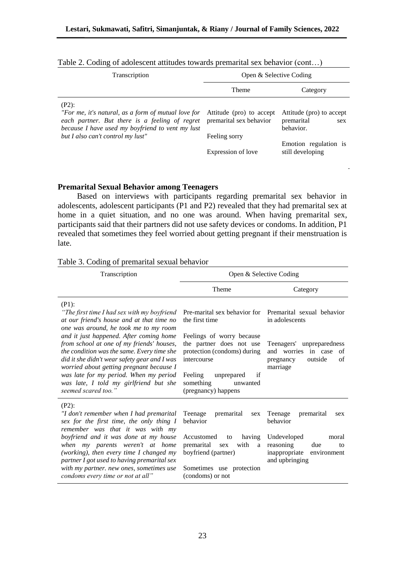| Transcription                                                                                                                                                                                  | Open & Selective Coding             |                                                            |  |
|------------------------------------------------------------------------------------------------------------------------------------------------------------------------------------------------|-------------------------------------|------------------------------------------------------------|--|
|                                                                                                                                                                                                | Theme                               | Category                                                   |  |
| $(P2)$ :<br>"For me, it's natural, as a form of mutual love for Attitude (pro) to accept<br>each partner. But there is a feeling of regret<br>because I have used my boyfriend to vent my lust | premarital sex behavior             | Attitude (pro) to accept<br>premarital<br>sex<br>behavior. |  |
| but I also can't control my lust"                                                                                                                                                              | Feeling sorry<br>Expression of love | Emotion regulation is<br>still developing                  |  |

| Table 2. Coding of adolescent attitudes towards premarital sex behavior (cont) |  |  |  |  |  |  |  |  |  |
|--------------------------------------------------------------------------------|--|--|--|--|--|--|--|--|--|
|--------------------------------------------------------------------------------|--|--|--|--|--|--|--|--|--|

# **Premarital Sexual Behavior among Teenagers**

Based on interviews with participants regarding premarital sex behavior in adolescents, adolescent participants (P1 and P2) revealed that they had premarital sex at home in a quiet situation, and no one was around. When having premarital sex, participants said that their partners did not use safety devices or condoms. In addition, P1 revealed that sometimes they feel worried about getting pregnant if their menstruation is late.

|  | Table 3. Coding of premarital sexual behavior |  |
|--|-----------------------------------------------|--|
|  |                                               |  |

| Transcription                                                                                                                                                                                                                                                                                                                             | Open & Selective Coding                                                                                                                                                            |                                                                                                        |  |  |
|-------------------------------------------------------------------------------------------------------------------------------------------------------------------------------------------------------------------------------------------------------------------------------------------------------------------------------------------|------------------------------------------------------------------------------------------------------------------------------------------------------------------------------------|--------------------------------------------------------------------------------------------------------|--|--|
|                                                                                                                                                                                                                                                                                                                                           | <b>Theme</b>                                                                                                                                                                       | Category                                                                                               |  |  |
| $(P1)$ :<br>"The first time I had sex with my boyfriend<br>at our friend's house and at that time no<br>one was around, he took me to my room                                                                                                                                                                                             | Pre-marital sex behavior for<br>the first time                                                                                                                                     | Premarital sexual behavior<br>in adolescents                                                           |  |  |
| and it just happened. After coming home<br>from school at one of my friends' houses,<br>the condition was the same. Every time she<br>did it she didn't wear safety gear and I was<br>worried about getting pregnant because I<br>was late for my period. When my period<br>was late, I told my girlfriend but she<br>seemed scared too." | Feelings of worry because<br>the partner does not use<br>protection (condoms) during<br>intercourse<br>Feeling<br>if<br>unprepared<br>something<br>unwanted<br>(pregnancy) happens | Teenagers' unpreparedness<br>worries<br>and<br>in case<br>of<br>outside<br>of<br>pregnancy<br>marriage |  |  |
| $(P2)$ :<br>"I don't remember when I had premarital<br>sex for the first time, the only thing I<br>remember was that it was with my                                                                                                                                                                                                       | Teenage<br>premarital<br>sex<br>behavior                                                                                                                                           | Teenage<br>premarital<br>sex<br>hehavior                                                               |  |  |
| boyfriend and it was done at my house<br>when my parents weren't at home<br>(working), then every time $I$ changed my<br>partner I got used to having premarital sex                                                                                                                                                                      | Accustomed<br>having<br>to<br>premarital<br>with<br>a<br>sex<br>boyfriend (partner)                                                                                                | Undeveloped<br>moral<br>reasoning<br>due<br>to<br>inappropriate environment<br>and upbringing          |  |  |
| with my partner. new ones, sometimes use<br>condoms every time or not at all"                                                                                                                                                                                                                                                             | Sometimes use protection<br>(condoms) or not                                                                                                                                       |                                                                                                        |  |  |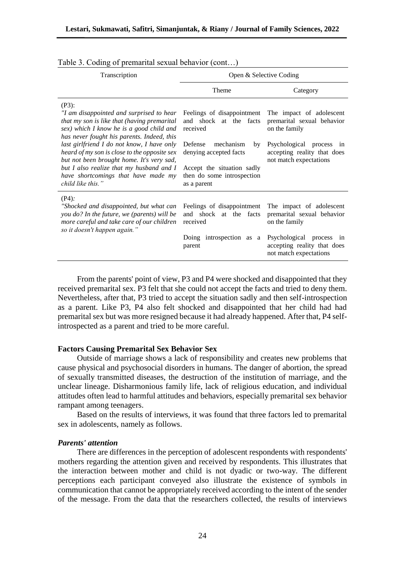| Transcription                                                                                                                                                                                                                                                                                                                                                                                                                                    | Open & Selective Coding                                                                                                                                                                             |                                                                                                                                                              |  |
|--------------------------------------------------------------------------------------------------------------------------------------------------------------------------------------------------------------------------------------------------------------------------------------------------------------------------------------------------------------------------------------------------------------------------------------------------|-----------------------------------------------------------------------------------------------------------------------------------------------------------------------------------------------------|--------------------------------------------------------------------------------------------------------------------------------------------------------------|--|
|                                                                                                                                                                                                                                                                                                                                                                                                                                                  | Theme                                                                                                                                                                                               | Category                                                                                                                                                     |  |
| $(P3)$ :<br>"I am disappointed and surprised to hear<br>that my son is like that (having premarital<br>sex) which I know he is a good child and<br>has never fought his parents. Indeed, this<br>last girlfriend I do not know, I have only<br>heard of my son is close to the opposite sex<br>but not been brought home. It's very sad,<br>but I also realize that my husband and I<br>have shortcomings that have made my<br>child like this." | Feelings of disappointment<br>and shock at the facts<br>received<br>Defense<br>mechanism<br>by<br>denying accepted facts<br>Accept the situation sadly<br>then do some introspection<br>as a parent | The impact of adolescent<br>premarital sexual behavior<br>on the family<br>Psychological process in<br>accepting reality that does<br>not match expectations |  |
| $(P4)$ :<br>"Shocked and disappointed, but what can<br>you do? In the future, we (parents) will be<br>more careful and take care of our children<br>so it doesn't happen again."                                                                                                                                                                                                                                                                 | Feelings of disappointment<br>and shock at the facts<br>received<br>Doing introspection as a<br>parent                                                                                              | The impact of adolescent<br>premarital sexual behavior<br>on the family<br>Psychological process in<br>accepting reality that does<br>not match expectations |  |

| Table 3. Coding of premarital sexual behavior (cont) |  |  |  |  |  |  |
|------------------------------------------------------|--|--|--|--|--|--|
|------------------------------------------------------|--|--|--|--|--|--|

From the parents' point of view, P3 and P4 were shocked and disappointed that they received premarital sex. P3 felt that she could not accept the facts and tried to deny them. Nevertheless, after that, P3 tried to accept the situation sadly and then self-introspection as a parent. Like P3, P4 also felt shocked and disappointed that her child had had premarital sex but was more resigned because it had already happened. After that, P4 selfintrospected as a parent and tried to be more careful.

#### **Factors Causing Premarital Sex Behavior Sex**

Outside of marriage shows a lack of responsibility and creates new problems that cause physical and psychosocial disorders in humans. The danger of abortion, the spread of sexually transmitted diseases, the destruction of the institution of marriage, and the unclear lineage. Disharmonious family life, lack of religious education, and individual attitudes often lead to harmful attitudes and behaviors, especially premarital sex behavior rampant among teenagers.

Based on the results of interviews, it was found that three factors led to premarital sex in adolescents, namely as follows.

#### *Parents' attention*

There are differences in the perception of adolescent respondents with respondents' mothers regarding the attention given and received by respondents. This illustrates that the interaction between mother and child is not dyadic or two-way. The different perceptions each participant conveyed also illustrate the existence of symbols in communication that cannot be appropriately received according to the intent of the sender of the message. From the data that the researchers collected, the results of interviews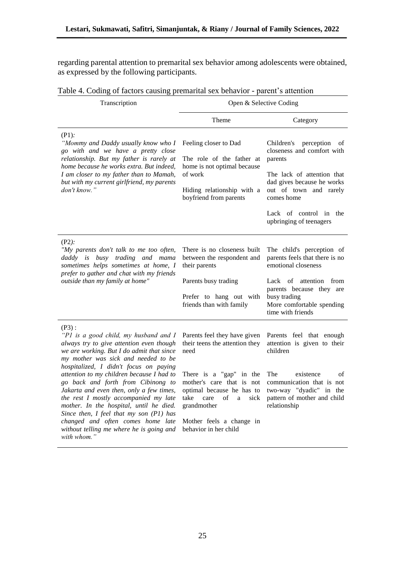regarding parental attention to premarital sex behavior among adolescents were obtained, as expressed by the following participants.

| Transcription                                                                                                                                                                                                                                                                                                                                                                                                                                                                                                                                                                             | Open & Selective Coding                                                                                                                                                                                                                                                          |                                                                                                                                                                                                                                  |  |
|-------------------------------------------------------------------------------------------------------------------------------------------------------------------------------------------------------------------------------------------------------------------------------------------------------------------------------------------------------------------------------------------------------------------------------------------------------------------------------------------------------------------------------------------------------------------------------------------|----------------------------------------------------------------------------------------------------------------------------------------------------------------------------------------------------------------------------------------------------------------------------------|----------------------------------------------------------------------------------------------------------------------------------------------------------------------------------------------------------------------------------|--|
|                                                                                                                                                                                                                                                                                                                                                                                                                                                                                                                                                                                           | Theme                                                                                                                                                                                                                                                                            | Category                                                                                                                                                                                                                         |  |
| $(P1)$ :<br>"Mommy and Daddy usually know who I<br>go with and we have a pretty close<br>relationship. But my father is rarely at<br>home because he works extra. But indeed,<br>I am closer to my father than to Mamah,<br>but with my current girlfriend, my parents<br>don't know."                                                                                                                                                                                                                                                                                                    | Feeling closer to Dad<br>The role of the father at<br>home is not optimal because<br>of work<br>Hiding relationship with a<br>boyfriend from parents                                                                                                                             | Children's<br>perception<br>οf<br>closeness and comfort with<br>parents<br>The lack of attention that<br>dad gives because he works<br>out of town and rarely<br>comes home<br>Lack of control in the<br>upbringing of teenagers |  |
| $(P2)$ :<br>"My parents don't talk to me too often,<br>daddy is busy trading and mama<br>sometimes helps sometimes at home, I<br>prefer to gather and chat with my friends<br>outside than my family at home"                                                                                                                                                                                                                                                                                                                                                                             | There is no closeness built<br>between the respondent and<br>their parents<br>Parents busy trading<br>Prefer to hang out with<br>friends than with family                                                                                                                        | The child's perception of<br>parents feels that there is no<br>emotional closeness<br>Lack of<br>attention<br>from<br>parents because they are<br>busy trading<br>More comfortable spending<br>time with friends                 |  |
| $(P3)$ :<br>"P1 is a good child, my husband and I<br>always try to give attention even though<br>we are working. But I do admit that since<br>my mother was sick and needed to be<br>hospitalized, I didn't focus on paying<br>attention to my children because I had to<br>go back and forth from Cibinong to<br>Jakarta and even then, only a few times,<br>the rest I mostly accompanied my late<br>mother. In the hospital, until he died.<br>Since then, I feel that my son (P1) has<br>changed and often comes home late<br>without telling me where he is going and<br>with whom." | Parents feel they have given<br>their teens the attention they<br>need<br>There is a "gap" in the<br>mother's care that is not<br>optimal because he has to<br>take<br>care<br>$_{\mathrm{of}}$<br>sick<br>a<br>grandmother<br>Mother feels a change in<br>behavior in her child | Parents feel that enough<br>attention is given to their<br>children<br>The<br>existence<br>οf<br>communication that is not<br>two-way "dyadic" in the<br>pattern of mother and child<br>relationship                             |  |

# Table 4. Coding of factors causing premarital sex behavior - parent's attention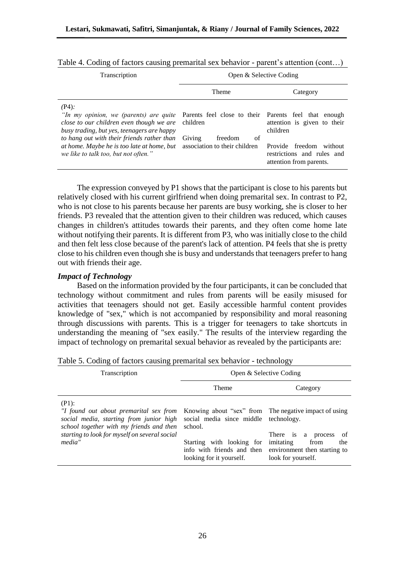| <b>Transcription</b>                                                                                                                                                                                                                                                                                                                                                      | Open & Selective Coding             |                                                                                                                                |
|---------------------------------------------------------------------------------------------------------------------------------------------------------------------------------------------------------------------------------------------------------------------------------------------------------------------------------------------------------------------------|-------------------------------------|--------------------------------------------------------------------------------------------------------------------------------|
|                                                                                                                                                                                                                                                                                                                                                                           | Theme                               | Category                                                                                                                       |
| $(P4)$ :<br><i>In my opinion, we (parents) are quite</i> Parents feel close to their Parents feel that enough<br>close to our children even though we are<br>busy trading, but yes, teenagers are happy<br>to hang out with their friends rather than<br>at home. Maybe he is too late at home, but association to their children<br>we like to talk too, but not often." | children<br>Giving<br>freedom<br>of | attention is given to their<br>children<br>Provide freedom<br>without<br>restrictions and rules and<br>attention from parents. |

Table 4. Coding of factors causing premarital sex behavior - parent's attention (cont...)

The expression conveyed by P1 shows that the participant is close to his parents but relatively closed with his current girlfriend when doing premarital sex. In contrast to P2, who is not close to his parents because her parents are busy working, she is closer to her friends. P3 revealed that the attention given to their children was reduced, which causes changes in children's attitudes towards their parents, and they often come home late without notifying their parents. It is different from P3, who was initially close to the child and then felt less close because of the parent's lack of attention. P4 feels that she is pretty close to his children even though she is busy and understands that teenagers prefer to hang out with friends their age.

## *Impact of Technology*

Based on the information provided by the four participants, it can be concluded that technology without commitment and rules from parents will be easily misused for activities that teenagers should not get. Easily accessible harmful content provides knowledge of "sex," which is not accompanied by responsibility and moral reasoning through discussions with parents. This is a trigger for teenagers to take shortcuts in understanding the meaning of "sex easily." The results of the interview regarding the impact of technology on premarital sexual behavior as revealed by the participants are:

| Transcription                                                                                                                                                                                        | Open & Selective Coding                                                                                                                 |                                                                                                                                                                      |  |
|------------------------------------------------------------------------------------------------------------------------------------------------------------------------------------------------------|-----------------------------------------------------------------------------------------------------------------------------------------|----------------------------------------------------------------------------------------------------------------------------------------------------------------------|--|
|                                                                                                                                                                                                      | Theme                                                                                                                                   | Category                                                                                                                                                             |  |
| $(P1)$ :<br>"I found out about premarital sex from<br>social media, starting from junior high<br>school together with my friends and then<br>starting to look for myself on several social<br>media" | social media since middle technology.<br>school.<br>Starting with looking for<br>info with friends and then<br>looking for it yourself. | Knowing about "sex" from The negative impact of using<br>-of<br>There is a process<br>imitating<br>from<br>the<br>environment then starting to<br>look for yourself. |  |

Table 5. Coding of factors causing premarital sex behavior - technology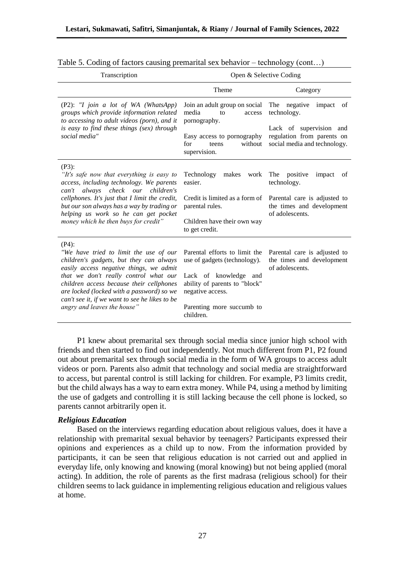| Transcription                                                                                                                                                                                                                                                                                                                                               | Open & Selective Coding                                                                                                                                                               |                                                                                                                                                            |  |
|-------------------------------------------------------------------------------------------------------------------------------------------------------------------------------------------------------------------------------------------------------------------------------------------------------------------------------------------------------------|---------------------------------------------------------------------------------------------------------------------------------------------------------------------------------------|------------------------------------------------------------------------------------------------------------------------------------------------------------|--|
|                                                                                                                                                                                                                                                                                                                                                             | Theme                                                                                                                                                                                 | Category                                                                                                                                                   |  |
| (P2): "I join a lot of WA (WhatsApp)<br>groups which provide information related<br>to accessing to adult videos (porn), and it<br>is easy to find these things (sex) through<br>social media"                                                                                                                                                              | Join an adult group on social<br>media<br>to<br>access<br>pornography.<br>Easy access to pornography<br>for<br>without<br>teens<br>supervision.                                       | The negative<br>impact of<br>technology.<br>Lack of supervision and<br>regulation from parents on<br>social media and technology.                          |  |
| $(P3)$ :<br>"It's safe now that everything is easy to<br>access, including technology. We parents<br>can't always check our children's<br>cellphones. It's just that I limit the credit,<br>but our son always has a way by trading or<br>helping us work so he can get pocket<br>money which he then buys for credit"                                      | Technology<br>makes<br>work<br>easier.<br>parental rules.<br>Children have their own way<br>to get credit.                                                                            | The positive<br>impact<br>of<br>technology.<br>Credit is limited as a form of Parental care is adjusted to<br>the times and development<br>of adolescents. |  |
| $(P4)$ :<br>"We have tried to limit the use of our<br>children's gadgets, but they can always<br>easily access negative things, we admit<br>that we don't really control what our<br>children access because their cellphones<br>are locked (locked with a password) so we<br>can't see it, if we want to see he likes to be<br>angry and leaves the house" | Parental efforts to limit the<br>use of gadgets (technology).<br>Lack of knowledge and<br>ability of parents to "block"<br>negative access.<br>Parenting more succumb to<br>children. | Parental care is adjusted to<br>the times and development<br>of adolescents.                                                                               |  |

Table 5. Coding of factors causing premarital sex behavior – technology (cont…)

P1 knew about premarital sex through social media since junior high school with friends and then started to find out independently. Not much different from P1, P2 found out about premarital sex through social media in the form of WA groups to access adult videos or porn. Parents also admit that technology and social media are straightforward to access, but parental control is still lacking for children. For example, P3 limits credit, but the child always has a way to earn extra money. While P4, using a method by limiting the use of gadgets and controlling it is still lacking because the cell phone is locked, so parents cannot arbitrarily open it.

#### *Religious Education*

Based on the interviews regarding education about religious values, does it have a relationship with premarital sexual behavior by teenagers? Participants expressed their opinions and experiences as a child up to now. From the information provided by participants, it can be seen that religious education is not carried out and applied in everyday life, only knowing and knowing (moral knowing) but not being applied (moral acting). In addition, the role of parents as the first madrasa (religious school) for their children seems to lack guidance in implementing religious education and religious values at home.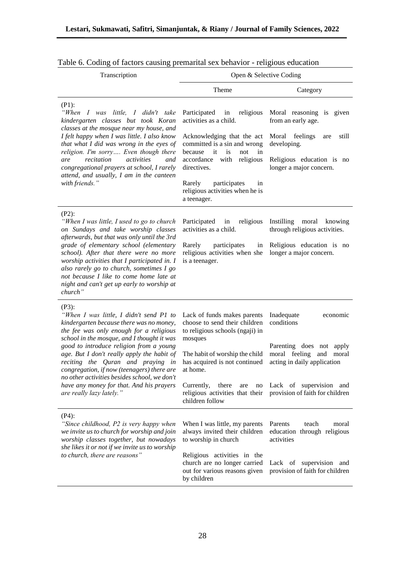| Transcription                                                                                                                                                                                                                                                                                                                                                                                                                                                                                | Open & Selective Coding                                                                                                                                                                                                                                                                      |                                                                                                                                                                                                                                |  |  |
|----------------------------------------------------------------------------------------------------------------------------------------------------------------------------------------------------------------------------------------------------------------------------------------------------------------------------------------------------------------------------------------------------------------------------------------------------------------------------------------------|----------------------------------------------------------------------------------------------------------------------------------------------------------------------------------------------------------------------------------------------------------------------------------------------|--------------------------------------------------------------------------------------------------------------------------------------------------------------------------------------------------------------------------------|--|--|
|                                                                                                                                                                                                                                                                                                                                                                                                                                                                                              | Theme                                                                                                                                                                                                                                                                                        | Category                                                                                                                                                                                                                       |  |  |
| $(P1)$ :<br>"When I was little, I didn't take<br>kindergarten classes but took Koran<br>classes at the mosque near my house, and<br>I felt happy when I was little. I also know<br>that what I did was wrong in the eyes of<br>religion. I'm sorry Even though there<br>recitation<br>activities<br>are<br>and<br>congregational prayers at school, I rarely<br>attend, and usually, I am in the canteen<br>with friends."                                                                   | religious<br>Participated<br>in<br>activities as a child.<br>Acknowledging that the act<br>committed is a sin and wrong<br>it<br>because<br>is<br>not<br>in<br>accordance with<br>religious<br>directives.<br>Rarely<br>participates<br>in<br>religious activities when he is<br>a teenager. | Moral reasoning is given<br>from an early age.<br>Moral<br>feelings<br>still<br>are<br>developing.<br>Religious education is no<br>longer a major concern.                                                                     |  |  |
| $(P2)$ :<br>"When I was little, I used to go to church<br>on Sundays and take worship classes<br>afterwards, but that was only until the 3rd<br>grade of elementary school (elementary<br>school). After that there were no more<br>worship activities that I participated in. I<br>also rarely go to church, sometimes I go<br>not because I like to come home late at<br>night and can't get up early to worship at<br>church"                                                             | Participated in<br>religious<br>activities as a child.<br>Rarely<br>participates<br>in<br>religious activities when she<br>is a teenager.                                                                                                                                                    | Instilling<br>moral knowing<br>through religious activities.<br>Religious education is no<br>longer a major concern.                                                                                                           |  |  |
| $(P3)$ :<br>"When I was little, I didn't send P1 to<br>kindergarten because there was no money,<br>the fee was only enough for a religious<br>school in the mosque, and I thought it was<br>good to introduce religion from a young<br>age. But I don't really apply the habit of<br>reciting the Quran and praying in<br>congregation, if now (teenagers) there are<br>no other activities besides school, we don't<br>have any money for that. And his prayers<br>are really lazy lately." | Lack of funds makes parents<br>choose to send their children<br>to religious schools (ngaji) in<br>mosques<br>The habit of worship the child<br>has acquired is not continued<br>at home.<br>Currently,<br>there<br>are<br>children follow                                                   | Inadequate<br>economic<br>conditions<br>Parenting does not apply<br>moral feeling and<br>moral<br>acting in daily application<br>no Lack of supervision and<br>religious activities that their provision of faith for children |  |  |
| $(P4)$ :<br>"Since childhood, P2 is very happy when<br>we invite us to church for worship and join<br>worship classes together, but nowadays<br>she likes it or not if we invite us to worship<br>to church, there are reasons"                                                                                                                                                                                                                                                              | When I was little, my parents<br>always invited their children<br>to worship in church<br>Religious activities in the<br>church are no longer carried<br>out for various reasons given<br>by children                                                                                        | Parents<br>moral<br>teach<br>education through religious<br>activities<br>Lack of supervision and<br>provision of faith for children                                                                                           |  |  |

|  | Table 6. Coding of factors causing premarital sex behavior - religious education |  |  |
|--|----------------------------------------------------------------------------------|--|--|
|  |                                                                                  |  |  |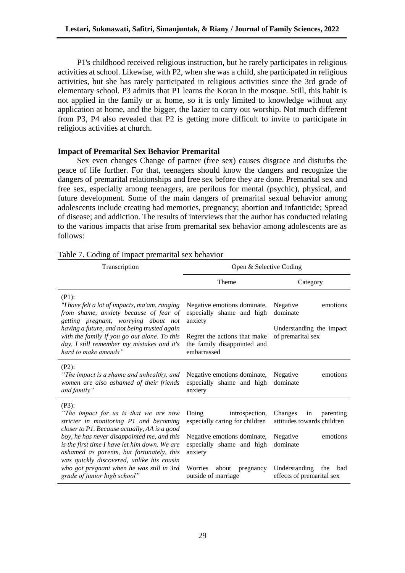P1's childhood received religious instruction, but he rarely participates in religious activities at school. Likewise, with P2, when she was a child, she participated in religious activities, but she has rarely participated in religious activities since the 3rd grade of elementary school. P3 admits that P1 learns the Koran in the mosque. Still, this habit is not applied in the family or at home, so it is only limited to knowledge without any application at home, and the bigger, the lazier to carry out worship. Not much different from P3, P4 also revealed that P2 is getting more difficult to invite to participate in religious activities at church.

# **Impact of Premarital Sex Behavior Premarital**

Sex even changes Change of partner (free sex) causes disgrace and disturbs the peace of life further. For that, teenagers should know the dangers and recognize the dangers of premarital relationships and free sex before they are done. Premarital sex and free sex, especially among teenagers, are perilous for mental (psychic), physical, and future development. Some of the main dangers of premarital sexual behavior among adolescents include creating bad memories, pregnancy; abortion and infanticide; Spread of disease; and addiction. The results of interviews that the author has conducted relating to the various impacts that arise from premarital sex behavior among adolescents are as follows:

| Transcription                                                                                                                                                                               | Open & Selective Coding                                                    |                                                              |  |
|---------------------------------------------------------------------------------------------------------------------------------------------------------------------------------------------|----------------------------------------------------------------------------|--------------------------------------------------------------|--|
|                                                                                                                                                                                             | Theme                                                                      | Category                                                     |  |
| $(P1)$ :<br>"I have felt a lot of impacts, ma'am, ranging<br>from shame, anxiety because of fear of<br>getting pregnant, worrying about not<br>having a future, and not being trusted again | Negative emotions dominate,<br>especially shame and high<br>anxiety        | emotions<br>Negative<br>dominate<br>Understanding the impact |  |
| with the family if you go out alone. To this<br>day, I still remember my mistakes and it's<br>hard to make amends"                                                                          | Regret the actions that make<br>the family disappointed and<br>embarrassed | of premarital sex                                            |  |
| $(P2)$ :<br>"The impact is a shame and unhealthy, and<br>women are also ashamed of their friends<br>and family"                                                                             | Negative emotions dominate,<br>especially shame and high<br>anxiety        | emotions<br>Negative<br>dominate                             |  |
| $(P3)$ :<br>"The impact for us is that we are now<br>stricter in monitoring P1 and becoming<br>closer to P1. Because actually, AA is a good                                                 | Doing<br>introspection,<br>especially caring for children                  | Changes<br>in<br>parenting<br>attitudes towards children     |  |
| boy, he has never disappointed me, and this<br>is the first time I have let him down. We are<br>ashamed as parents, but fortunately, this<br>was quickly discovered, unlike his cousin      | Negative emotions dominate,<br>especially shame and high<br>anxiety        | Negative<br>emotions<br>dominate                             |  |
| who got pregnant when he was still in 3rd<br>grade of junior high school"                                                                                                                   | Worries<br>about<br>pregnancy<br>outside of marriage                       | Understanding<br>the<br>bad<br>effects of premarital sex     |  |

# Table 7. Coding of Impact premarital sex behavior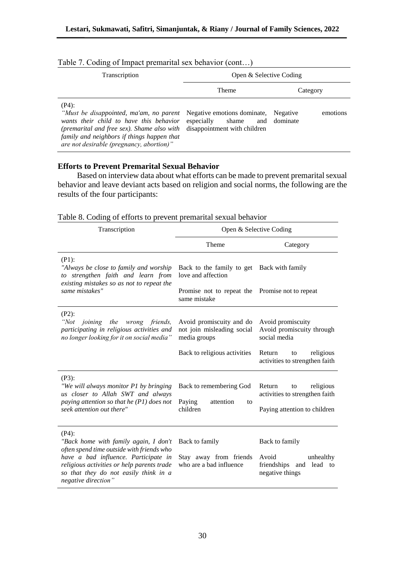| Transcription                                                                                                                                                                                                                                                                                   | Open & Selective Coding |                                      |  |
|-------------------------------------------------------------------------------------------------------------------------------------------------------------------------------------------------------------------------------------------------------------------------------------------------|-------------------------|--------------------------------------|--|
|                                                                                                                                                                                                                                                                                                 | Theme                   | Category                             |  |
| $(P4)$ :<br>"Must be disappointed, ma'am, no parent Negative emotions dominate,<br>wants their child to have this behavior<br>(premarital and free sex). Shame also with disappointment with children<br>family and neighbors if things happen that<br>are not desirable (pregnancy, abortion)" | especially<br>shame     | emotions<br>Negative<br>and dominate |  |

## Table 7. Coding of Impact premarital sex behavior (cont…)

# **Efforts to Prevent Premarital Sexual Behavior**

Based on interview data about what efforts can be made to prevent premarital sexual behavior and leave deviant acts based on religion and social norms, the following are the results of the four participants:

|  |  |  | Table 8. Coding of efforts to prevent premarital sexual behavior |  |  |  |  |
|--|--|--|------------------------------------------------------------------|--|--|--|--|
|--|--|--|------------------------------------------------------------------|--|--|--|--|

| Transcription                                                                                                                                                                                                                                        | Open & Selective Coding                                                                                             |                                                                                             |  |  |
|------------------------------------------------------------------------------------------------------------------------------------------------------------------------------------------------------------------------------------------------------|---------------------------------------------------------------------------------------------------------------------|---------------------------------------------------------------------------------------------|--|--|
|                                                                                                                                                                                                                                                      | Theme                                                                                                               | Category                                                                                    |  |  |
| $(P1)$ :<br>"Always be close to family and worship<br>to strengthen faith and learn from<br>existing mistakes so as not to repeat the<br>same mistakes"                                                                                              | Back to the family to get Back with family<br>love and affection<br>Promise not to repeat the Promise not to repeat |                                                                                             |  |  |
|                                                                                                                                                                                                                                                      | same mistake                                                                                                        |                                                                                             |  |  |
| $(P2)$ :<br>"Not"<br><i>joining the wrong friends,</i><br>participating in religious activities and<br>no longer looking for it on social media"                                                                                                     | Avoid promiscuity and do<br>not join misleading social<br>media groups                                              | Avoid promiscuity<br>Avoid promiscuity through<br>social media                              |  |  |
|                                                                                                                                                                                                                                                      | Back to religious activities                                                                                        | religious<br>Return<br>to<br>activities to strengthen faith                                 |  |  |
| $(P3)$ :<br>"We will always monitor P1 by bringing<br>us closer to Allah SWT and always<br>paying attention so that he $(PI)$ does not<br>seek attention out there"                                                                                  | Back to remembering God<br>Paying<br>attention<br>to<br>children                                                    | Return<br>religious<br>to<br>activities to strengthen faith<br>Paying attention to children |  |  |
| $(P4)$ :<br>"Back home with family again, I don't<br>often spend time outside with friends who<br>have a bad influence. Participate in<br>religious activities or help parents trade<br>so that they do not easily think in a<br>negative direction" | Back to family<br>Stay away from friends<br>who are a bad influence                                                 | Back to family<br>Avoid<br>unhealthy<br>friendships and<br>lead to<br>negative things       |  |  |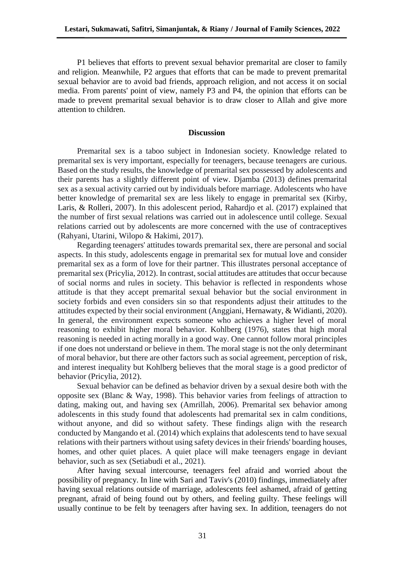P1 believes that efforts to prevent sexual behavior premarital are closer to family and religion. Meanwhile, P2 argues that efforts that can be made to prevent premarital sexual behavior are to avoid bad friends, approach religion, and not access it on social media. From parents' point of view, namely P3 and P4, the opinion that efforts can be made to prevent premarital sexual behavior is to draw closer to Allah and give more attention to children.

#### **Discussion**

Premarital sex is a taboo subject in Indonesian society. Knowledge related to premarital sex is very important, especially for teenagers, because teenagers are curious. Based on the study results, the knowledge of premarital sex possessed by adolescents and their parents has a slightly different point of view. Djamba (2013) defines premarital sex as a sexual activity carried out by individuals before marriage. Adolescents who have better knowledge of premarital sex are less likely to engage in premarital sex (Kirby, Laris, & Rolleri, 2007). In this adolescent period, Rahardjo et al. (2017) explained that the number of first sexual relations was carried out in adolescence until college. Sexual relations carried out by adolescents are more concerned with the use of contraceptives (Rahyani, Utarini, Wilopo & Hakimi, 2017).

Regarding teenagers' attitudes towards premarital sex, there are personal and social aspects. In this study, adolescents engage in premarital sex for mutual love and consider premarital sex as a form of love for their partner. This illustrates personal acceptance of premarital sex (Pricylia, 2012). In contrast, social attitudes are attitudes that occur because of social norms and rules in society. This behavior is reflected in respondents whose attitude is that they accept premarital sexual behavior but the social environment in society forbids and even considers sin so that respondents adjust their attitudes to the attitudes expected by their social environment (Anggiani, Hernawaty, & Widianti, 2020). In general, the environment expects someone who achieves a higher level of moral reasoning to exhibit higher moral behavior. Kohlberg (1976), states that high moral reasoning is needed in acting morally in a good way. One cannot follow moral principles if one does not understand or believe in them. The moral stage is not the only determinant of moral behavior, but there are other factors such as social agreement, perception of risk, and interest inequality but Kohlberg believes that the moral stage is a good predictor of behavior (Pricylia, 2012).

Sexual behavior can be defined as behavior driven by a sexual desire both with the opposite sex (Blanc & Way, 1998). This behavior varies from feelings of attraction to dating, making out, and having sex (Amrillah, 2006). Premarital sex behavior among adolescents in this study found that adolescents had premarital sex in calm conditions, without anyone, and did so without safety. These findings align with the research conducted by Mangando et al. (2014) which explains that adolescents tend to have sexual relations with their partners without using safety devices in their friends' boarding houses, homes, and other quiet places. A quiet place will make teenagers engage in deviant behavior, such as sex (Setiabudi et al., 2021).

After having sexual intercourse, teenagers feel afraid and worried about the possibility of pregnancy. In line with Sari and Taviv's (2010) findings, immediately after having sexual relations outside of marriage, adolescents feel ashamed, afraid of getting pregnant, afraid of being found out by others, and feeling guilty. These feelings will usually continue to be felt by teenagers after having sex. In addition, teenagers do not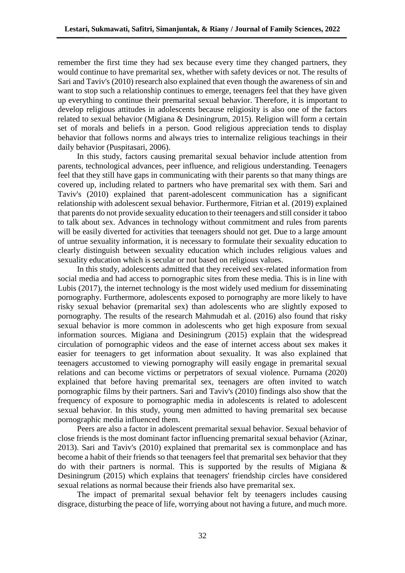remember the first time they had sex because every time they changed partners, they would continue to have premarital sex, whether with safety devices or not. The results of Sari and Taviv's (2010) research also explained that even though the awareness of sin and want to stop such a relationship continues to emerge, teenagers feel that they have given up everything to continue their premarital sexual behavior. Therefore, it is important to develop religious attitudes in adolescents because religiosity is also one of the factors related to sexual behavior (Migiana & Desiningrum, 2015). Religion will form a certain set of morals and beliefs in a person. Good religious appreciation tends to display behavior that follows norms and always tries to internalize religious teachings in their daily behavior (Puspitasari, 2006).

In this study, factors causing premarital sexual behavior include attention from parents, technological advances, peer influence, and religious understanding. Teenagers feel that they still have gaps in communicating with their parents so that many things are covered up, including related to partners who have premarital sex with them. Sari and Taviv's (2010) explained that parent-adolescent communication has a significant relationship with adolescent sexual behavior. Furthermore, Fitrian et al. (2019) explained that parents do not provide sexuality education to their teenagers and still consider it taboo to talk about sex. Advances in technology without commitment and rules from parents will be easily diverted for activities that teenagers should not get. Due to a large amount of untrue sexuality information, it is necessary to formulate their sexuality education to clearly distinguish between sexuality education which includes religious values and sexuality education which is secular or not based on religious values.

In this study, adolescents admitted that they received sex-related information from social media and had access to pornographic sites from these media. This is in line with Lubis (2017), the internet technology is the most widely used medium for disseminating pornography. Furthermore, adolescents exposed to pornography are more likely to have risky sexual behavior (premarital sex) than adolescents who are slightly exposed to pornography. The results of the research Mahmudah et al. (2016) also found that risky sexual behavior is more common in adolescents who get high exposure from sexual information sources. Migiana and Desiningrum (2015) explain that the widespread circulation of pornographic videos and the ease of internet access about sex makes it easier for teenagers to get information about sexuality. It was also explained that teenagers accustomed to viewing pornography will easily engage in premarital sexual relations and can become victims or perpetrators of sexual violence. Purnama (2020) explained that before having premarital sex, teenagers are often invited to watch pornographic films by their partners. Sari and Taviv's (2010) findings also show that the frequency of exposure to pornographic media in adolescents is related to adolescent sexual behavior. In this study, young men admitted to having premarital sex because pornographic media influenced them.

Peers are also a factor in adolescent premarital sexual behavior. Sexual behavior of close friends is the most dominant factor influencing premarital sexual behavior (Azinar, 2013). Sari and Taviv's (2010) explained that premarital sex is commonplace and has become a habit of their friends so that teenagers feel that premarital sex behavior that they do with their partners is normal. This is supported by the results of Migiana  $\&$ Desiningrum (2015) which explains that teenagers' friendship circles have considered sexual relations as normal because their friends also have premarital sex.

The impact of premarital sexual behavior felt by teenagers includes causing disgrace, disturbing the peace of life, worrying about not having a future, and much more.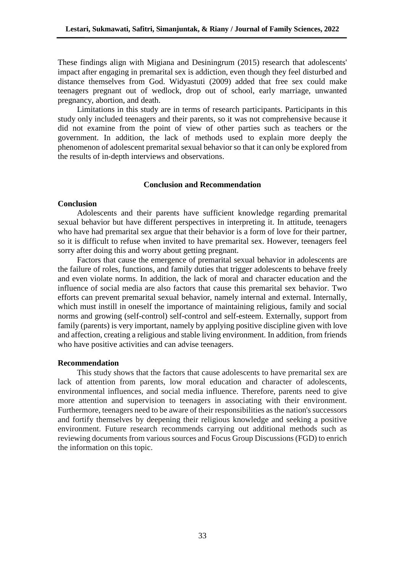These findings align with Migiana and Desiningrum (2015) research that adolescents' impact after engaging in premarital sex is addiction, even though they feel disturbed and distance themselves from God. Widyastuti (2009) added that free sex could make teenagers pregnant out of wedlock, drop out of school, early marriage, unwanted pregnancy, abortion, and death.

Limitations in this study are in terms of research participants. Participants in this study only included teenagers and their parents, so it was not comprehensive because it did not examine from the point of view of other parties such as teachers or the government. In addition, the lack of methods used to explain more deeply the phenomenon of adolescent premarital sexual behavior so that it can only be explored from the results of in-depth interviews and observations.

## **Conclusion and Recommendation**

## **Conclusion**

Adolescents and their parents have sufficient knowledge regarding premarital sexual behavior but have different perspectives in interpreting it. In attitude, teenagers who have had premarital sex argue that their behavior is a form of love for their partner, so it is difficult to refuse when invited to have premarital sex. However, teenagers feel sorry after doing this and worry about getting pregnant.

Factors that cause the emergence of premarital sexual behavior in adolescents are the failure of roles, functions, and family duties that trigger adolescents to behave freely and even violate norms. In addition, the lack of moral and character education and the influence of social media are also factors that cause this premarital sex behavior. Two efforts can prevent premarital sexual behavior, namely internal and external. Internally, which must instill in oneself the importance of maintaining religious, family and social norms and growing (self-control) self-control and self-esteem. Externally, support from family (parents) is very important, namely by applying positive discipline given with love and affection, creating a religious and stable living environment. In addition, from friends who have positive activities and can advise teenagers.

#### **Recommendation**

This study shows that the factors that cause adolescents to have premarital sex are lack of attention from parents, low moral education and character of adolescents, environmental influences, and social media influence. Therefore, parents need to give more attention and supervision to teenagers in associating with their environment. Furthermore, teenagers need to be aware of their responsibilities as the nation's successors and fortify themselves by deepening their religious knowledge and seeking a positive environment. Future research recommends carrying out additional methods such as reviewing documents from various sources and Focus Group Discussions (FGD) to enrich the information on this topic.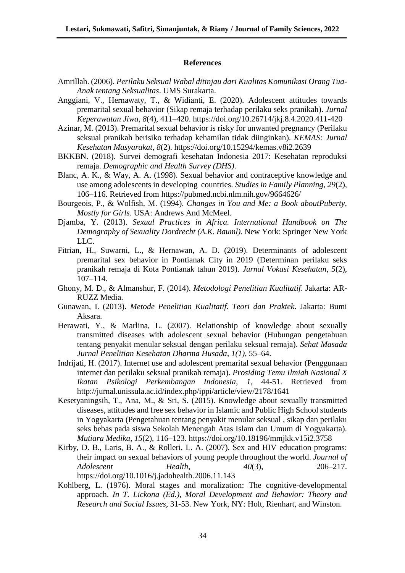#### **References**

- Amrillah. (2006). *Perilaku Seksual Wabal ditinjau dari Kualitas Komunikasi Orang Tua-Anak tentang Seksualitas*. UMS Surakarta.
- Anggiani, V., Hernawaty, T., & Widianti, E. (2020). Adolescent attitudes towards premarital sexual behavior (Sikap remaja terhadap perilaku seks pranikah). *Jurnal Keperawatan Jiwa*, *8*(4), 411–420. https://doi.org/10.26714/jkj.8.4.2020.411-420
- Azinar, M. (2013). Premarital sexual behavior is risky for unwanted pregnancy (Perilaku seksual pranikah berisiko terhadap kehamilan tidak diinginkan). *KEMAS: Jurnal Kesehatan Masyarakat*, *8*(2). https://doi.org/10.15294/kemas.v8i2.2639
- BKKBN. (2018). Survei demografi kesehatan Indonesia 2017: Kesehatan reproduksi remaja. *Demographic and Health Survey (DHS)*.
- Blanc, A. K., & Way, A. A. (1998). Sexual behavior and contraceptive knowledge and use among adolescents in developing countries. *Studies in Family Planning*, *29*(2), 106–116. Retrieved from https://pubmed.ncbi.nlm.nih.gov/9664626/
- Bourgeois, P., & Wolfish, M. (1994). *Changes in You and Me: a Book aboutPuberty, Mostly for Girls*. USA: Andrews And McMeel.
- Djamba, Y. (2013). *Sexual Practices in Africa. International Handbook on The Demography of Sexuality Dordrecht (A.K. Bauml)*. New York: Springer New York LLC.
- Fitrian, H., Suwarni, L., & Hernawan, A. D. (2019). Determinants of adolescent premarital sex behavior in Pontianak City in 2019 (Determinan perilaku seks pranikah remaja di Kota Pontianak tahun 2019). *Jurnal Vokasi Kesehatan*, *5*(2), 107–114.
- Ghony, M. D., & Almanshur, F. (2014). *Metodologi Penelitian Kualitatif*. Jakarta: AR-RUZZ Media.
- Gunawan, I. (2013). *Metode Penelitian Kualitatif. Teori dan Praktek*. Jakarta: Bumi Aksara.
- Herawati, Y., & Marlina, L. (2007). Relationship of knowledge about sexually transmitted diseases with adolescent sexual behavior (Hubungan pengetahuan tentang penyakit menular seksual dengan perilaku seksual remaja). *Sehat Masada Jurnal Penelitian Kesehatan Dharma Husada*, *1(1)*, 55–64.
- Indrijati, H. (2017). Internet use and adolescent premarital sexual behavior (Penggunaan internet dan perilaku seksual pranikah remaja). *Prosiding Temu Ilmiah Nasional X Ikatan Psikologi Perkembangan Indonesia*, *1*, 44-51. Retrieved from http://jurnal.unissula.ac.id/index.php/ippi/article/view/2178/1641
- Kesetyaningsih, T., Ana, M., & Sri, S. (2015). Knowledge about sexually transmitted diseases, attitudes and free sex behavior in Islamic and Public High School students in Yogyakarta (Pengetahuan tentang penyakit menular seksual , sikap dan perilaku seks bebas pada siswa Sekolah Menengah Atas Islam dan Umum di Yogyakarta). *Mutiara Medika*, *15*(2), 116–123. https://doi.org/10.18196/mmjkk.v15i2.3758
- Kirby, D. B., Laris, B. A., & Rolleri, L. A. (2007). Sex and HIV education programs: their impact on sexual behaviors of young people throughout the world. *Journal of Adolescent Health*, *40*(3), 206–217. https://doi.org/10.1016/j.jadohealth.2006.11.143
- Kohlberg, L. (1976). Moral stages and moralization: The cognitive-developmental approach. *In T. Lickona (Ed.), Moral Development and Behavior: Theory and Research and Social Issues*, 31-53. New York, NY: Holt, Rienhart, and Winston.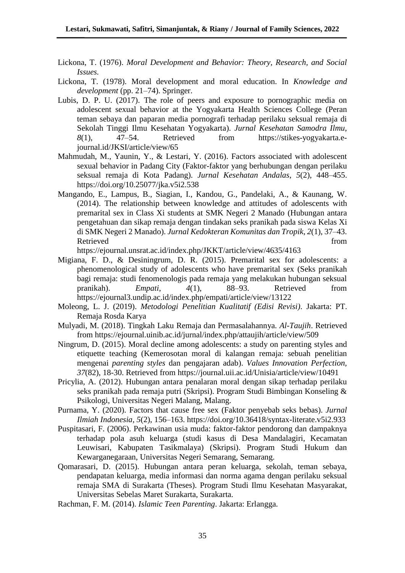- Lickona, T. (1976). *Moral Development and Behavior: Theory, Research, and Social Issues.*
- Lickona, T. (1978). Moral development and moral education. In *Knowledge and development* (pp. 21–74). Springer.
- Lubis, D. P. U. (2017). The role of peers and exposure to pornographic media on adolescent sexual behavior at the Yogyakarta Health Sciences College (Peran teman sebaya dan paparan media pornografi terhadap perilaku seksual remaja di Sekolah Tinggi Ilmu Kesehatan Yogyakarta). *Jurnal Kesehatan Samodra Ilmu*, *8*(1), 47–54. Retrieved from https://stikes-yogyakarta.ejournal.id/JKSI/article/view/65
- Mahmudah, M., Yaunin, Y., & Lestari, Y. (2016). Factors associated with adolescent sexual behavior in Padang City (Faktor-faktor yang berhubungan dengan perilaku seksual remaja di Kota Padang). *Jurnal Kesehatan Andalas*, *5*(2), 448–455. https://doi.org/10.25077/jka.v5i2.538
- Mangando, E., Lampus, B., Siagian, I., Kandou, G., Pandelaki, A., & Kaunang, W. (2014). The relationship between knowledge and attitudes of adolescents with premarital sex in Class Xi students at SMK Negeri 2 Manado (Hubungan antara pengetahuan dan sikap remaja dengan tindakan seks pranikah pada siswa Kelas Xi di SMK Negeri 2 Manado). *Jurnal Kedokteran Komunitas dan Tropik*, *2*(1), 37–43. Retrieved from the state of  $\sim$

https://ejournal.unsrat.ac.id/index.php/JKKT/article/view/4635/4163

- Migiana, F. D., & Desiningrum, D. R. (2015). Premarital sex for adolescents: a phenomenological study of adolescents who have premarital sex (Seks pranikah bagi remaja: studi fenomenologis pada remaja yang melakukan hubungan seksual pranikah). *Empati*, *4*(1), 88–93. Retrieved from https://ejournal3.undip.ac.id/index.php/empati/article/view/13122
- Moleong, L. J. (2019). *Metodologi Penelitian Kualitatif (Edisi Revisi)*. Jakarta: PT. Remaja Rosda Karya
- Mulyadi, M. (2018). Tingkah Laku Remaja dan Permasalahannya. *Al-Taujih*. Retrieved from https://ejournal.uinib.ac.id/jurnal/index.php/attaujih/article/view/509
- Ningrum, D. (2015). Moral decline among adolescents: a study on parenting styles and etiquette teaching (Kemerosotan moral di kalangan remaja: sebuah penelitian mengenai *parenting styles* dan pengajaran adab). *Values Innovation Perfection, 37*(82), 18-30. Retrieved from https://journal.uii.ac.id/Unisia/article/view/10491
- Pricylia, A. (2012). Hubungan antara penalaran moral dengan sikap terhadap perilaku seks pranikah pada remaja putri (Skripsi). Program Studi Bimbingan Konseling & Psikologi, Universitas Negeri Malang, Malang.
- Purnama, Y. (2020). Factors that cause free sex (Faktor penyebab seks bebas). *Jurnal Ilmiah Indonesia*, *5*(2), 156–163. https://doi.org/10.36418/syntax-literate.v5i2.933
- Puspitasari, F. (2006). Perkawinan usia muda: faktor-faktor pendorong dan dampaknya terhadap pola asuh keluarga (studi kasus di Desa Mandalagiri, Kecamatan Leuwisari, Kabupaten Tasikmalaya) (Skripsi). Program Studi Hukum dan Kewarganegaraan, Universitas Negeri Semarang, Semarang.
- Qomarasari, D. (2015). Hubungan antara peran keluarga, sekolah, teman sebaya, pendapatan keluarga, media informasi dan norma agama dengan perilaku seksual remaja SMA di Surakarta (Theses). Program Studi Ilmu Kesehatan Masyarakat, Universitas Sebelas Maret Surakarta, Surakarta.
- Rachman, F. M. (2014). *Islamic Teen Parenting*. Jakarta: Erlangga.